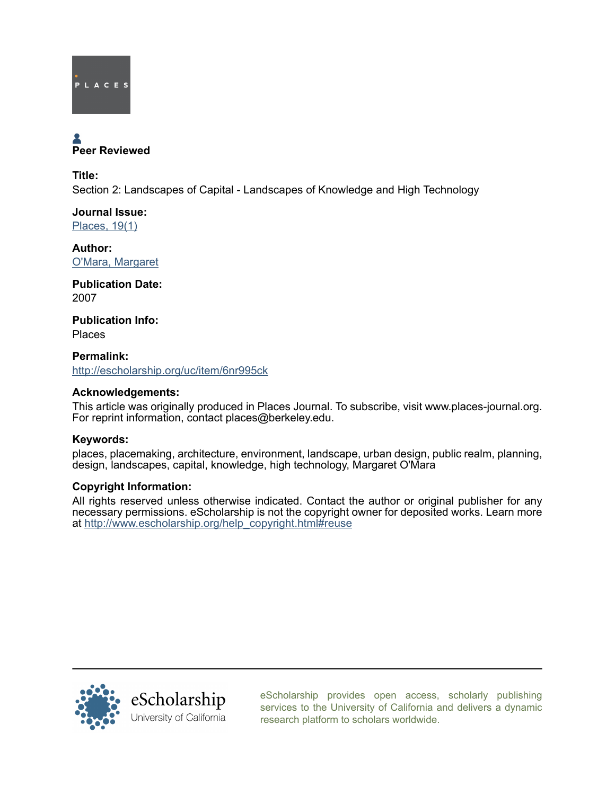

# Peer Reviewed

Title: Section 2: Landscapes of Capital - Landscapes of Knowledge and High Technology

Journal Issue: [Places, 19\(1\)](http://escholarship.org/uc/ced_places?volume=19;issue=1)

Author: [O'Mara, Margaret](http://escholarship.org/uc/search?creator=O%27Mara%2C%20Margaret)

Publication Date: 2007

Publication Info: Places

Permalink: <http://escholarship.org/uc/item/6nr995ck>

# Acknowledgements:

This article was originally produced in Places Journal. To subscribe, visit www.places-journal.org. For reprint information, contact places@berkeley.edu.

# Keywords:

places, placemaking, architecture, environment, landscape, urban design, public realm, planning, design, landscapes, capital, knowledge, high technology, Margaret O'Mara

# Copyright Information:

All rights reserved unless otherwise indicated. Contact the author or original publisher for any necessary permissions. eScholarship is not the copyright owner for deposited works. Learn more at [http://www.escholarship.org/help\\_copyright.html#reuse](http://www.escholarship.org/help_copyright.html#reuse)



[eScholarship provides open access, scholarly publishing](http://escholarship.org) [services to the University of California and delivers a dynamic](http://escholarship.org) [research platform to scholars worldwide.](http://escholarship.org)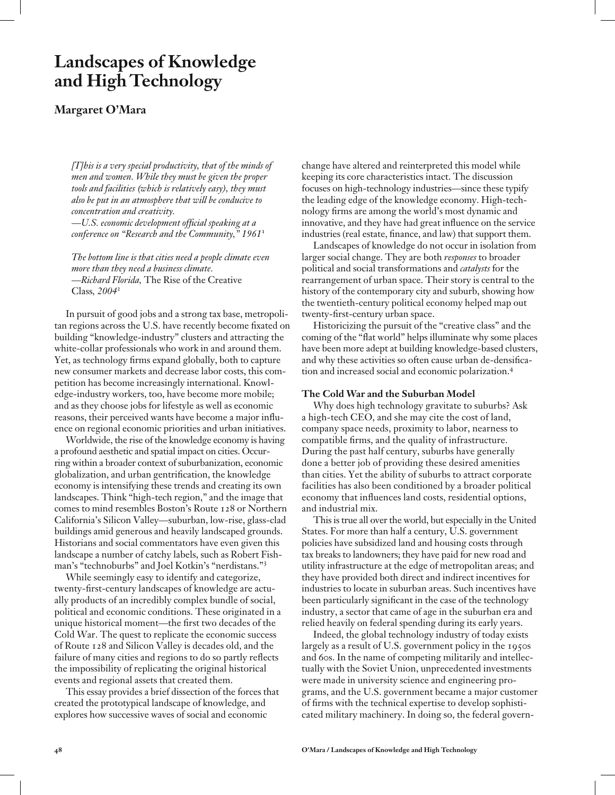# **Landscapes of Knowledge and High Technology**

## **Margaret O'Mara**

*[T]his is a very special productivity, that of the minds of men and women. While they must be given the proper tools and facilities (which is relatively easy), they must also be put in an atmosphere that will be conducive to concentration and creativity.*

*—U.S. economic development official speaking at a conference on "Research and the Community," 1961*<sup>1</sup>

*The bottom line is that cities need a people climate even more than they need a business climate. —Richard Florida,* The Rise of the Creative Class*, 2004*<sup>2</sup>

In pursuit of good jobs and a strong tax base, metropolitan regions across the U.S. have recently become fixated on building "knowledge-industry" clusters and attracting the white-collar professionals who work in and around them. Yet, as technology firms expand globally, both to capture new consumer markets and decrease labor costs, this competition has become increasingly international. Knowledge-industry workers, too, have become more mobile; and as they choose jobs for lifestyle as well as economic reasons, their perceived wants have become a major influence on regional economic priorities and urban initiatives.

Worldwide, the rise of the knowledge economy is having a profound aesthetic and spatial impact on cities. Occurring within a broader context of suburbanization, economic globalization, and urban gentrification, the knowledge economy is intensifying these trends and creating its own landscapes. Think "high-tech region," and the image that comes to mind resembles Boston's Route 128 or Northern California's Silicon Valley—suburban, low-rise, glass-clad buildings amid generous and heavily landscaped grounds. Historians and social commentators have even given this landscape a number of catchy labels, such as Robert Fishman's "technoburbs" and Joel Kotkin's "nerdistans."<sup>3</sup>

While seemingly easy to identify and categorize, twenty-first-century landscapes of knowledge are actually products of an incredibly complex bundle of social, political and economic conditions. These originated in a unique historical moment—the first two decades of the Cold War. The quest to replicate the economic success of Route 128 and Silicon Valley is decades old, and the failure of many cities and regions to do so partly reflects the impossibility of replicating the original historical events and regional assets that created them.

This essay provides a brief dissection of the forces that created the prototypical landscape of knowledge, and explores how successive waves of social and economic

change have altered and reinterpreted this model while keeping its core characteristics intact. The discussion focuses on high-technology industries—since these typify the leading edge of the knowledge economy. High-technology firms are among the world's most dynamic and innovative, and they have had great influence on the service industries (real estate, finance, and law) that support them.

Landscapes of knowledge do not occur in isolation from larger social change. They are both *responses* to broader political and social transformations and *catalysts* for the rearrangement of urban space. Their story is central to the history of the contemporary city and suburb, showing how the twentieth-century political economy helped map out twenty-first-century urban space.

Historicizing the pursuit of the "creative class" and the coming of the "flat world" helps illuminate why some places have been more adept at building knowledge-based clusters, and why these activities so often cause urban de-densification and increased social and economic polarization.<sup>4</sup>

#### **The Cold War and the Suburban Model**

Why does high technology gravitate to suburbs? Ask a high-tech CEO, and she may cite the cost of land, company space needs, proximity to labor, nearness to compatible firms, and the quality of infrastructure. During the past half century, suburbs have generally done a better job of providing these desired amenities than cities. Yet the ability of suburbs to attract corporate facilities has also been conditioned by a broader political economy that influences land costs, residential options, and industrial mix.

This is true all over the world, but especially in the United States. For more than half a century, U.S. government policies have subsidized land and housing costs through tax breaks to landowners; they have paid for new road and utility infrastructure at the edge of metropolitan areas; and they have provided both direct and indirect incentives for industries to locate in suburban areas. Such incentives have been particularly significant in the case of the technology industry, a sector that came of age in the suburban era and relied heavily on federal spending during its early years.

Indeed, the global technology industry of today exists largely as a result of U.S. government policy in the 1950s and 60s. In the name of competing militarily and intellectually with the Soviet Union, unprecedented investments were made in university science and engineering programs, and the U.S. government became a major customer of firms with the technical expertise to develop sophisticated military machinery. In doing so, the federal govern-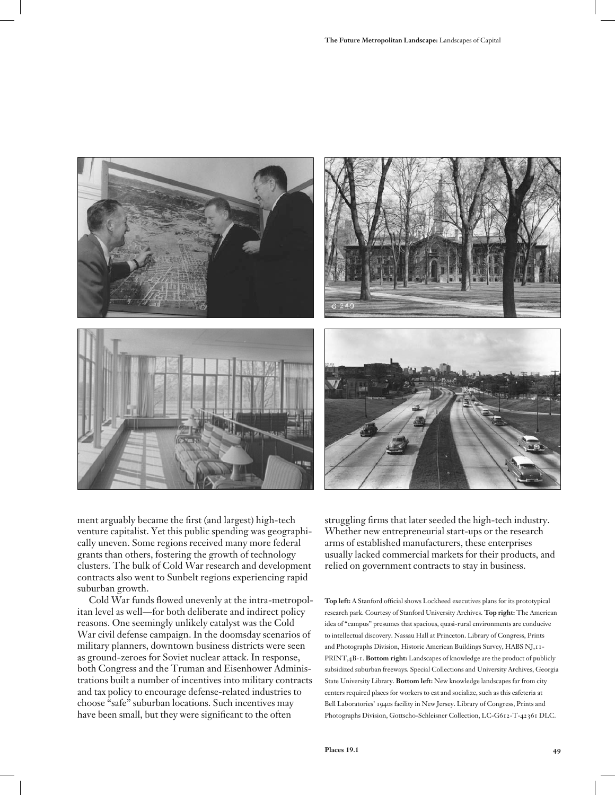

ment arguably became the first (and largest) high-tech venture capitalist. Yet this public spending was geographically uneven. Some regions received many more federal grants than others, fostering the growth of technology clusters. The bulk of Cold War research and development contracts also went to Sunbelt regions experiencing rapid suburban growth.

Cold War funds flowed unevenly at the intra-metropolitan level as well—for both deliberate and indirect policy reasons. One seemingly unlikely catalyst was the Cold War civil defense campaign. In the doomsday scenarios of military planners, downtown business districts were seen as ground-zeroes for Soviet nuclear attack. In response, both Congress and the Truman and Eisenhower Administrations built a number of incentives into military contracts and tax policy to encourage defense-related industries to choose "safe" suburban locations. Such incentives may have been small, but they were significant to the often

struggling firms that later seeded the high-tech industry. Whether new entrepreneurial start-ups or the research arms of established manufacturers, these enterprises usually lacked commercial markets for their products, and relied on government contracts to stay in business.

**Top left:** A Stanford official shows Lockheed executives plans for its prototypical research park. Courtesy of Stanford University Archives. **Top right:** The American idea of "campus" presumes that spacious, quasi-rural environments are conducive to intellectual discovery. Nassau Hall at Princeton. Library of Congress, Prints and Photographs Division, Historic American Buildings Survey, HABS NJ,11- PRINT,4B-1. **Bottom right:** Landscapes of knowledge are the product of publicly subsidized suburban freeways. Special Collections and University Archives, Georgia State University Library. **Bottom left:** New knowledge landscapes far from city centers required places for workers to eat and socialize, such as this cafeteria at Bell Laboratories' 1940s facility in New Jersey. Library of Congress, Prints and Photographs Division, Gottscho-Schleisner Collection, LC-G612-T-42361 DLC.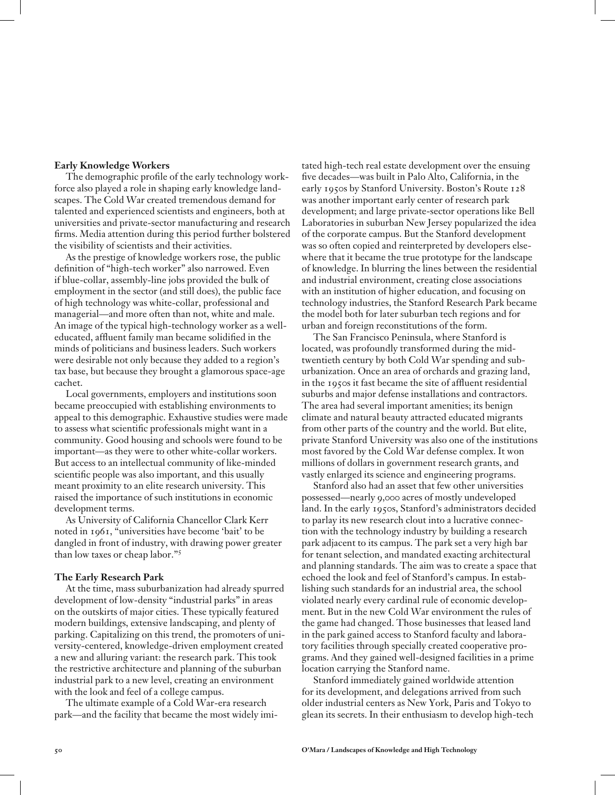#### **Early Knowledge Workers**

The demographic profile of the early technology workforce also played a role in shaping early knowledge landscapes. The Cold War created tremendous demand for talented and experienced scientists and engineers, both at universities and private-sector manufacturing and research firms. Media attention during this period further bolstered the visibility of scientists and their activities.

As the prestige of knowledge workers rose, the public definition of "high-tech worker" also narrowed. Even if blue-collar, assembly-line jobs provided the bulk of employment in the sector (and still does), the public face of high technology was white-collar, professional and managerial—and more often than not, white and male. An image of the typical high-technology worker as a welleducated, affluent family man became solidified in the minds of politicians and business leaders. Such workers were desirable not only because they added to a region's tax base, but because they brought a glamorous space-age cachet.

Local governments, employers and institutions soon became preoccupied with establishing environments to appeal to this demographic. Exhaustive studies were made to assess what scientific professionals might want in a community. Good housing and schools were found to be important—as they were to other white-collar workers. But access to an intellectual community of like-minded scientific people was also important, and this usually meant proximity to an elite research university. This raised the importance of such institutions in economic development terms.

As University of California Chancellor Clark Kerr noted in 1961, "universities have become 'bait' to be dangled in front of industry, with drawing power greater than low taxes or cheap labor."<sup>5</sup>

#### **The Early Research Park**

At the time, mass suburbanization had already spurred development of low-density "industrial parks" in areas on the outskirts of major cities. These typically featured modern buildings, extensive landscaping, and plenty of parking. Capitalizing on this trend, the promoters of university-centered, knowledge-driven employment created a new and alluring variant: the research park. This took the restrictive architecture and planning of the suburban industrial park to a new level, creating an environment with the look and feel of a college campus.

The ultimate example of a Cold War-era research park—and the facility that became the most widely imitated high-tech real estate development over the ensuing five decades—was built in Palo Alto, California, in the early 1950s by Stanford University. Boston's Route 128 was another important early center of research park development; and large private-sector operations like Bell Laboratories in suburban New Jersey popularized the idea of the corporate campus. But the Stanford development was so often copied and reinterpreted by developers elsewhere that it became the true prototype for the landscape of knowledge. In blurring the lines between the residential and industrial environment, creating close associations with an institution of higher education, and focusing on technology industries, the Stanford Research Park became the model both for later suburban tech regions and for urban and foreign reconstitutions of the form.

The San Francisco Peninsula, where Stanford is located, was profoundly transformed during the midtwentieth century by both Cold War spending and suburbanization. Once an area of orchards and grazing land, in the 1950s it fast became the site of affluent residential suburbs and major defense installations and contractors. The area had several important amenities; its benign climate and natural beauty attracted educated migrants from other parts of the country and the world. But elite, private Stanford University was also one of the institutions most favored by the Cold War defense complex. It won millions of dollars in government research grants, and vastly enlarged its science and engineering programs.

Stanford also had an asset that few other universities possessed—nearly 9,000 acres of mostly undeveloped land. In the early 1950s, Stanford's administrators decided to parlay its new research clout into a lucrative connection with the technology industry by building a research park adjacent to its campus. The park set a very high bar for tenant selection, and mandated exacting architectural and planning standards. The aim was to create a space that echoed the look and feel of Stanford's campus. In establishing such standards for an industrial area, the school violated nearly every cardinal rule of economic development. But in the new Cold War environment the rules of the game had changed. Those businesses that leased land in the park gained access to Stanford faculty and laboratory facilities through specially created cooperative programs. And they gained well-designed facilities in a prime location carrying the Stanford name.

Stanford immediately gained worldwide attention for its development, and delegations arrived from such older industrial centers as New York, Paris and Tokyo to glean its secrets. In their enthusiasm to develop high-tech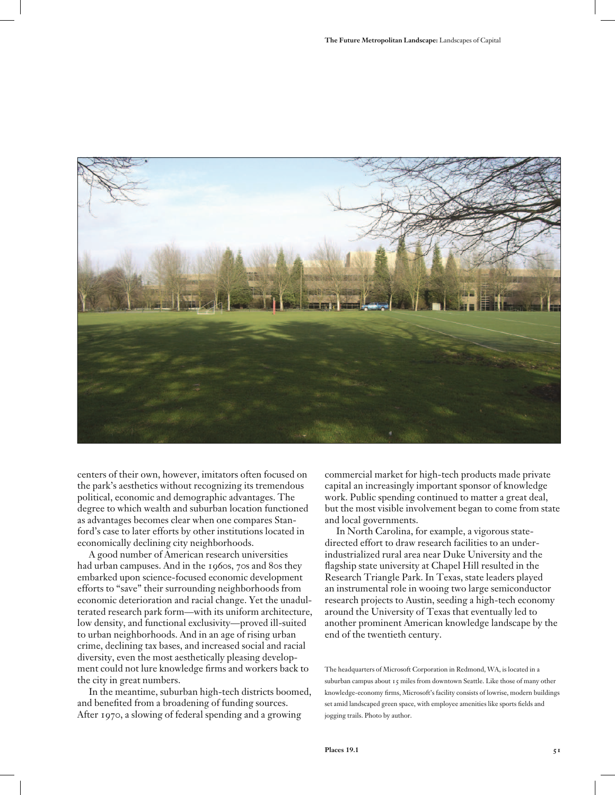

centers of their own, however, imitators often focused on the park's aesthetics without recognizing its tremendous political, economic and demographic advantages. The degree to which wealth and suburban location functioned as advantages becomes clear when one compares Stanford's case to later efforts by other institutions located in economically declining city neighborhoods.

A good number of American research universities had urban campuses. And in the 1960s, 70s and 80s they embarked upon science-focused economic development efforts to "save" their surrounding neighborhoods from economic deterioration and racial change. Yet the unadulterated research park form—with its uniform architecture, low density, and functional exclusivity—proved ill-suited to urban neighborhoods. And in an age of rising urban crime, declining tax bases, and increased social and racial diversity, even the most aesthetically pleasing development could not lure knowledge firms and workers back to the city in great numbers.

In the meantime, suburban high-tech districts boomed, and benefited from a broadening of funding sources. After 1970, a slowing of federal spending and a growing

commercial market for high-tech products made private capital an increasingly important sponsor of knowledge work. Public spending continued to matter a great deal, but the most visible involvement began to come from state and local governments.

In North Carolina, for example, a vigorous statedirected effort to draw research facilities to an underindustrialized rural area near Duke University and the flagship state university at Chapel Hill resulted in the Research Triangle Park. In Texas, state leaders played an instrumental role in wooing two large semiconductor research projects to Austin, seeding a high-tech economy around the University of Texas that eventually led to another prominent American knowledge landscape by the end of the twentieth century.

The headquarters of Microsoft Corporation in Redmond, WA, is located in a suburban campus about 15 miles from downtown Seattle. Like those of many other knowledge-economy firms, Microsoft's facility consists of lowrise, modern buildings set amid landscaped green space, with employee amenities like sports fields and jogging trails. Photo by author.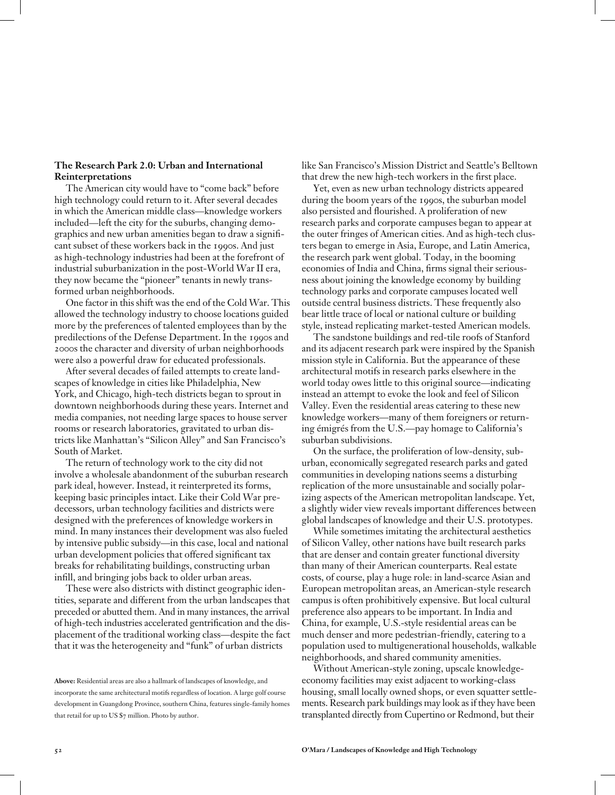### **The Research Park 2.0: Urban and International Reinterpretations**

The American city would have to "come back" before high technology could return to it. After several decades in which the American middle class—knowledge workers included—left the city for the suburbs, changing demographics and new urban amenities began to draw a significant subset of these workers back in the 1990s. And just as high-technology industries had been at the forefront of industrial suburbanization in the post-World War II era, they now became the "pioneer" tenants in newly transformed urban neighborhoods.

One factor in this shift was the end of the Cold War. This allowed the technology industry to choose locations guided more by the preferences of talented employees than by the predilections of the Defense Department. In the 1990s and 2000s the character and diversity of urban neighborhoods were also a powerful draw for educated professionals.

After several decades of failed attempts to create landscapes of knowledge in cities like Philadelphia, New York, and Chicago, high-tech districts began to sprout in downtown neighborhoods during these years. Internet and media companies, not needing large spaces to house server rooms or research laboratories, gravitated to urban districts like Manhattan's "Silicon Alley" and San Francisco's South of Market.

The return of technology work to the city did not involve a wholesale abandonment of the suburban research park ideal, however. Instead, it reinterpreted its forms, keeping basic principles intact. Like their Cold War predecessors, urban technology facilities and districts were designed with the preferences of knowledge workers in mind. In many instances their development was also fueled by intensive public subsidy—in this case, local and national urban development policies that offered significant tax breaks for rehabilitating buildings, constructing urban infill, and bringing jobs back to older urban areas.

These were also districts with distinct geographic identities, separate and different from the urban landscapes that preceded or abutted them. And in many instances, the arrival of high-tech industries accelerated gentrification and the displacement of the traditional working class—despite the fact that it was the heterogeneity and "funk" of urban districts

like San Francisco's Mission District and Seattle's Belltown that drew the new high-tech workers in the first place.

Yet, even as new urban technology districts appeared during the boom years of the 1990s, the suburban model also persisted and flourished. A proliferation of new research parks and corporate campuses began to appear at the outer fringes of American cities. And as high-tech clusters began to emerge in Asia, Europe, and Latin America, the research park went global. Today, in the booming economies of India and China, firms signal their seriousness about joining the knowledge economy by building technology parks and corporate campuses located well outside central business districts. These frequently also bear little trace of local or national culture or building style, instead replicating market-tested American models.

The sandstone buildings and red-tile roofs of Stanford and its adjacent research park were inspired by the Spanish mission style in California. But the appearance of these architectural motifs in research parks elsewhere in the world today owes little to this original source—indicating instead an attempt to evoke the look and feel of Silicon Valley. Even the residential areas catering to these new knowledge workers—many of them foreigners or returning émigrés from the U.S.—pay homage to California's suburban subdivisions.

On the surface, the proliferation of low-density, suburban, economically segregated research parks and gated communities in developing nations seems a disturbing replication of the more unsustainable and socially polarizing aspects of the American metropolitan landscape. Yet, a slightly wider view reveals important differences between global landscapes of knowledge and their U.S. prototypes.

While sometimes imitating the architectural aesthetics of Silicon Valley, other nations have built research parks that are denser and contain greater functional diversity than many of their American counterparts. Real estate costs, of course, play a huge role: in land-scarce Asian and European metropolitan areas, an American-style research campus is often prohibitively expensive. But local cultural preference also appears to be important. In India and China, for example, U.S.-style residential areas can be much denser and more pedestrian-friendly, catering to a population used to multigenerational households, walkable neighborhoods, and shared community amenities.

Without American-style zoning, upscale knowledgeeconomy facilities may exist adjacent to working-class housing, small locally owned shops, or even squatter settlements. Research park buildings may look as if they have been transplanted directly from Cupertino or Redmond, but their

**Above:** Residential areas are also a hallmark of landscapes of knowledge, and incorporate the same architectural motifs regardless of location. A large golf course development in Guangdong Province, southern China, features single-family homes that retail for up to US \$7 million. Photo by author.